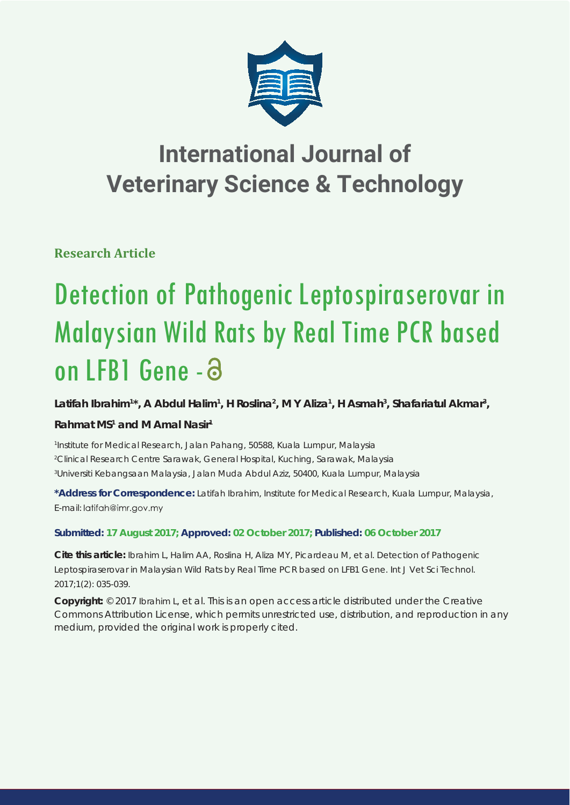

# **International Journal of Veterinary Science & Technology**

**Research Article**

# Detection of Pathogenic Leptospiraserovar in Malaysian Wild Rats by Real Time PCR based on LFB1 Gene - a

Latifah Ibrahim<sup>1\*</sup>, A Abdul Halim<sup>1</sup>, H Roslina<sup>2</sup>, M Y Aliza<sup>1</sup>, H Asmah<sup>3</sup>, Shafariatul Akmar<sup>3</sup>,

## **Rahmat MS1 and M Amal Nasir1**

*1 Institute for Medical Research, Jalan Pahang, 50588, Kuala Lumpur, Malaysia 2 Clinical Research Centre Sarawak, General Hospital, Kuching, Sarawak, Malaysia 3 Universiti Kebangsaan Malaysia, Jalan Muda Abdul Aziz, 50400, Kuala Lumpur, Malaysia*

**\*Address for Correspondence:** Latifah Ibrahim, Institute for Medical Research, Kuala Lumpur, Malaysia, E-mail: latifah@imr.gov.my

### **Submitted: 17 August 2017; Approved: 02 October 2017; Published: 06 October 2017**

**Cite this article:** Ibrahim L, Halim AA, Roslina H, Aliza MY, Picardeau M, et al. Detection of Pathogenic Leptospiraserovar in Malaysian Wild Rats by Real Time PCR based on LFB1 Gene. Int J Vet Sci Technol. 2017;1(2): 035-039.

**Copyright:** © 2017 Ibrahim L, et al. This is an open access article distributed under the Creative Commons Attribution License, which permits unrestricted use, distribution, and reproduction in any medium, provided the original work is properly cited.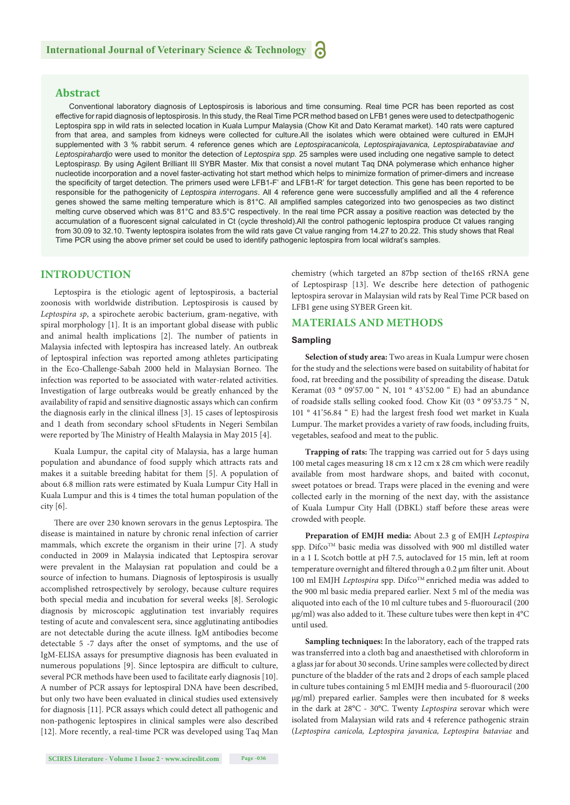#### **Abstract**

Conventional laboratory diagnosis of Leptospirosis is laborious and time consuming. Real time PCR has been reported as cost effective for rapid diagnosis of leptospirosis. In this study, the Real Time PCR method based on LFB1 genes were used to detectpathogenic Leptospira spp in wild rats in selected location in Kuala Lumpur Malaysia (Chow Kit and Dato Keramat market). 140 rats were captured from that area, and samples from kidneys were collected for culture.All the isolates which were obtained were cultured in EMJH supplemented with 3 % rabbit serum. 4 reference genes which are *Leptospiracanicola, Leptospirajavanica, Leptospirabataviae and Leptospirahardjo* were used to monitor the detection of *Leptospira spp.* 25 samples were used including one negative sample to detect Leptospira*sp.* By using Agilent Brilliant III SYBR Master. Mix that consist a novel mutant Taq DNA polymerase which enhance higher nucleotide incorporation and a novel faster-activating hot start method which helps to minimize formation of primer-dimers and increase the specificity of target detection. The primers used were LFB1-F' and LFB1-R' for target detection. This gene has been reported to be responsible for the pathogenicity of *Leptospira interrogans*. All 4 reference gene were successfully amplified and all the 4 reference genes showed the same melting temperature which is 81°C. All amplified samples categorized into two genospecies as two distinct melting curve observed which was 81°C and 83.5°C respectively. In the real time PCR assay a positive reaction was detected by the accumulation of a fluorescent signal calculated in Ct (cycle threshold).All the control pathogenic leptospira produce Ct values ranging from 30.09 to 32.10. Twenty leptospira isolates from the wild rats gave Ct value ranging from 14.27 to 20.22. This study shows that Real Time PCR using the above primer set could be used to identify pathogenic leptospira from local wildrat's samples.

#### **INTRODUCTION**

Leptospira is the etiologic agent of leptospirosis, a bacterial zoonosis with worldwide distribution. Leptospirosis is caused by *Leptospira sp*, a spirochete aerobic bacterium, gram-negative, with spiral morphology [1]. It is an important global disease with public and animal health implications [2]. The number of patients in Malaysia infected with leptospira has increased lately. An outbreak of leptospiral infection was reported among athletes participating in the Eco-Challenge-Sabah 2000 held in Malaysian Borneo. The infection was reported to be associated with water-related activities. Investigation of large outbreaks would be greatly enhanced by the availability of rapid and sensitive diagnostic assays which can confirm the diagnosis early in the clinical illness [3]. 15 cases of leptospirosis and 1 death from secondary school sFtudents in Negeri Sembilan were reported by The Ministry of Health Malaysia in May 2015 [4].

Kuala Lumpur, the capital city of Malaysia, has a large human population and abundance of food supply which attracts rats and makes it a suitable breeding habitat for them [5]. A population of about 6.8 million rats were estimated by Kuala Lumpur City Hall in Kuala Lumpur and this is 4 times the total human population of the city [6].

There are over 230 known serovars in the genus Leptospira. The disease is maintained in nature by chronic renal infection of carrier mammals, which excrete the organism in their urine [7]. A study conducted in 2009 in Malaysia indicated that Leptospira serovar were prevalent in the Malaysian rat population and could be a source of infection to humans. Diagnosis of leptospirosis is usually accomplished retrospectively by serology, because culture requires both special media and incubation for several weeks [8]. Serologic diagnosis by microscopic agglutination test invariably requires testing of acute and convalescent sera, since agglutinating antibodies are not detectable during the acute illness. IgM antibodies become detectable 5 -7 days after the onset of symptoms, and the use of IgM-ELISA assays for presumptive diagnosis has been evaluated in numerous populations [9]. Since leptospira are difficult to culture, several PCR methods have been used to facilitate early diagnosis [10]. A number of PCR assays for leptospiral DNA have been described, but only two have been evaluated in clinical studies used extensively for diagnosis [11]. PCR assays which could detect all pathogenic and non-pathogenic leptospires in clinical samples were also described [12]. More recently, a real-time PCR was developed using Taq Man

chemistry (which targeted an 87bp section of the16S rRNA gene of Leptospirasp [13]. We describe here detection of pathogenic leptospira serovar in Malaysian wild rats by Real Time PCR based on LFB1 gene using SYBER Green kit.

#### **MATERIALS AND METHODS**

#### **Sampling**

**Selection of study area:** Two areas in Kuala Lumpur were chosen for the study and the selections were based on suitability of habitat for food, rat breeding and the possibility of spreading the disease. Datuk Keramat (03 ° 09'57.00 " N, 101 ° 43'52.00 " E) had an abundance of roadside stalls selling cooked food. Chow Kit (03 ° 09'53.75 " N, 101 ° 41'56.84 " E) had the largest fresh food wet market in Kuala Lumpur. The market provides a variety of raw foods, including fruits, vegetables, seafood and meat to the public.

Trapping of rats: The trapping was carried out for 5 days using 100 metal cages measuring 18 cm x 12 cm x 28 cm which were readily available from most hardware shops, and baited with coconut, sweet potatoes or bread. Traps were placed in the evening and were collected early in the morning of the next day, with the assistance of Kuala Lumpur City Hall (DBKL) staff before these areas were crowded with people.

**Preparation of EMJH media:** About 2.3 g of EMJH *Leptospira* spp. Difco<sup>TM</sup> basic media was dissolved with 900 ml distilled water in a 1 L Scotch bottle at pH 7.5, autoclaved for 15 min, left at room temperature overnight and filtered through a 0.2 μm filter unit. About 100 ml EMJH *Leptospira* spp. Difco<sup>TM</sup> enriched media was added to the 900 ml basic media prepared earlier. Next 5 ml of the media was aliquoted into each of the 10 ml culture tubes and 5-fluorouracil (200  $\mu$ g/ml) was also added to it. These culture tubes were then kept in 4°C until used.

**Sampling techniques:** In the laboratory, each of the trapped rats was transferred into a cloth bag and anaesthetised with chloroform in a glass jar for about 30 seconds. Urine samples were collected by direct puncture of the bladder of the rats and 2 drops of each sample placed in culture tubes containing 5 ml EMJH media and 5-fluorouracil (200 μg/ml) prepared earlier. Samples were then incubated for 8 weeks in the dark at 28°C - 30°C. Twenty *Leptospira* serovar which were isolated from Malaysian wild rats and 4 reference pathogenic strain (*Leptospira canicola, Leptospira javanica, Leptospira bataviae* and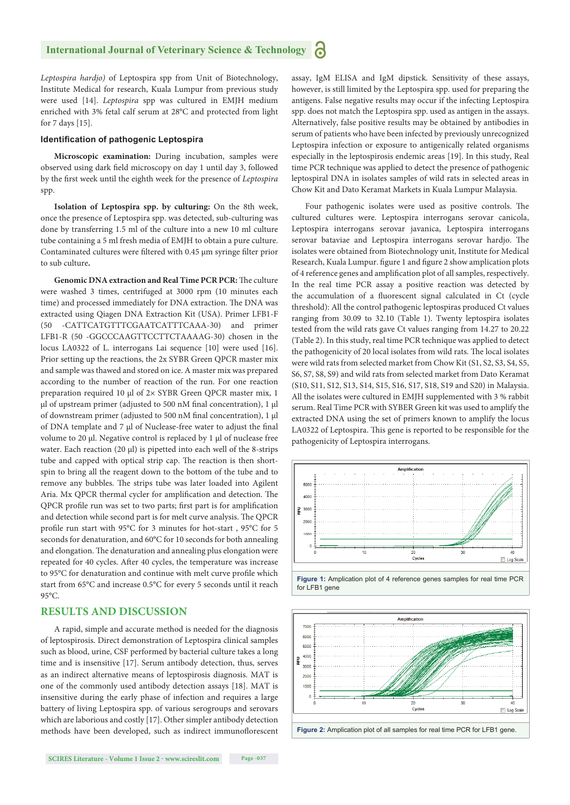*Leptospira hardjo)* of Leptospira spp from Unit of Biotechnology, Institute Medical for research, Kuala Lumpur from previous study were used [14]. *Leptospira* spp was cultured in EMJH medium enriched with 3% fetal calf serum at 28°C and protected from light for 7 days [15].

#### **Identification of pathogenic Leptospira**

**Microscopic examination:** During incubation, samples were observed using dark field microscopy on day 1 until day 3, followed by the first week until the eighth week for the presence of *Leptospira* spp.

**Isolation of Leptospira spp. by culturing:** On the 8th week, once the presence of Leptospira spp. was detected, sub-culturing was done by transferring 1.5 ml of the culture into a new 10 ml culture tube containing a 5 ml fresh media of EMJH to obtain a pure culture. Contaminated cultures were filtered with  $0.45 \mu m$  syringe filter prior to sub culture**.**

**Genomic DNA extraction and Real Time PCR PCR:** The culture were washed 3 times, centrifuged at 3000 rpm (10 minutes each time) and processed immediately for DNA extraction. The DNA was extracted using Qiagen DNA Extraction Kit (USA). Primer LFB1-F (50 -CATTCATGTTTCGAATCATTTCAAA-30) and primer LFB1-R (50 -GGCCCAAGTTCCTTCTAAAAG-30) chosen in the locus LA0322 of L. interrogans Lai sequence [10] were used [16]. Prior setting up the reactions, the 2x SYBR Green QPCR master mix and sample was thawed and stored on ice. A master mix was prepared according to the number of reaction of the run. For one reaction preparation required 10 μl of 2× SYBR Green QPCR master mix, 1 μl of upstream primer (adjusted to 500 nM final concentration), 1 μl of downstream primer (adjusted to 500 nM final concentration), 1 μl of DNA template and 7 μl of Nuclease-free water to adjust the final volume to 20 μl. Negative control is replaced by 1 μl of nuclease free water. Each reaction (20 μl) is pipetted into each well of the 8-strips tube and capped with optical strip cap. The reaction is then shortspin to bring all the reagent down to the bottom of the tube and to remove any bubbles. The strips tube was later loaded into Agilent Aria. Mx QPCR thermal cycler for amplification and detection. The QPCR profile run was set to two parts; first part is for amplification and detection while second part is for melt curve analysis. The QPCR profile run start with 95°C for 3 minutes for hot-start, 95°C for 5 seconds for denaturation, and 60°C for 10 seconds for both annealing and elongation. The denaturation and annealing plus elongation were repeated for 40 cycles. After 40 cycles, the temperature was increase to 95°C for denaturation and continue with melt curve profile which start from 65°C and increase 0.5°C for every 5 seconds until it reach  $95^{\circ}$ C.

#### **RESULTS AND DISCUSSION**

A rapid, simple and accurate method is needed for the diagnosis of leptospirosis. Direct demonstration of Leptospira clinical samples such as blood, urine, CSF performed by bacterial culture takes a long time and is insensitive [17]. Serum antibody detection, thus, serves as an indirect alternative means of leptospirosis diagnosis. MAT is one of the commonly used antibody detection assays [18]. MAT is insensitive during the early phase of infection and requires a large battery of living Leptospira spp. of various serogroups and serovars which are laborious and costly [17]. Other simpler antibody detection methods have been developed, such as indirect immunoflorescent assay, IgM ELISA and IgM dipstick. Sensitivity of these assays, however, is still limited by the Leptospira spp. used for preparing the antigens. False negative results may occur if the infecting Leptospira spp. does not match the Leptospira spp. used as antigen in the assays. Alternatively, false positive results may be obtained by antibodies in serum of patients who have been infected by previously unrecognized Leptospira infection or exposure to antigenically related organisms especially in the leptospirosis endemic areas [19]. In this study, Real time PCR technique was applied to detect the presence of pathogenic leptospiral DNA in isolates samples of wild rats in selected areas in Chow Kit and Dato Keramat Markets in Kuala Lumpur Malaysia.

Four pathogenic isolates were used as positive controls. The cultured cultures were. Leptospira interrogans serovar canicola, Leptospira interrogans serovar javanica, Leptospira interrogans serovar bataviae and Leptospira interrogans serovar hardjo. The isolates were obtained from Biotechnology unit, Institute for Medical Research, Kuala Lumpur. figure 1 and figure 2 show amplication plots of 4 reference genes and amplification plot of all samples, respectively. In the real time PCR assay a positive reaction was detected by the accumulation of a fluorescent signal calculated in Ct (cycle threshold): All the control pathogenic leptospiras produced Ct values ranging from 30.09 to 32.10 (Table 1). Twenty leptospira isolates tested from the wild rats gave Ct values ranging from 14.27 to 20.22 (Table 2). In this study, real time PCR technique was applied to detect the pathogenicity of 20 local isolates from wild rats. The local isolates were wild rats from selected market from Chow Kit (S1, S2, S3, S4, S5, S6, S7, S8, S9) and wild rats from selected market from Dato Keramat (S10, S11, S12, S13, S14, S15, S16, S17, S18, S19 and S20) in Malaysia. All the isolates were cultured in EMJH supplemented with 3 % rabbit serum. Real Time PCR with SYBER Green kit was used to amplify the extracted DNA using the set of primers known to amplify the locus LA0322 of Leptospira. This gene is reported to be responsible for the pathogenicity of Leptospira interrogans.



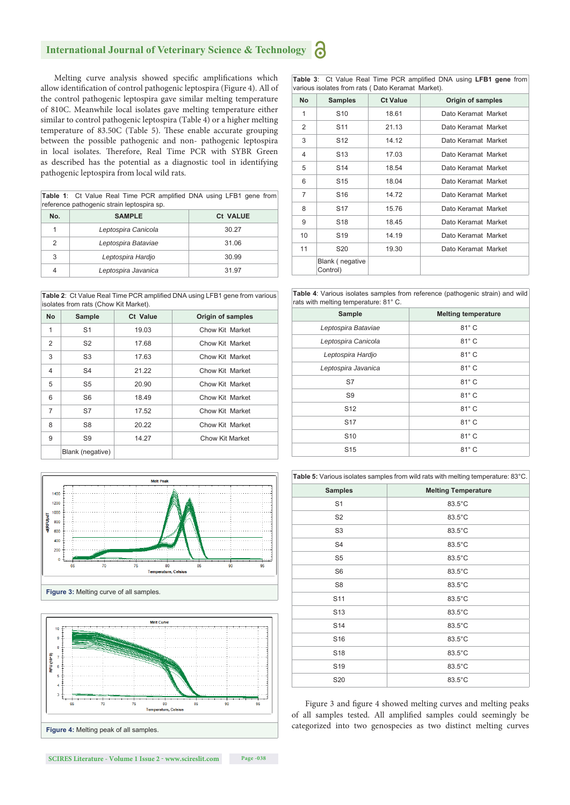#### 8 **International Journal of Veterinary Science & Technology**

Melting curve analysis showed specific amplifications which allow identification of control pathogenic leptospira (Figure 4). All of the control pathogenic leptospira gave similar melting temperature of 810C. Meanwhile local isolates gave melting temperature either similar to control pathogenic leptospira (Table 4) or a higher melting temperature of 83.50C (Table 5). These enable accurate grouping between the possible pathogenic and non- pathogenic leptospira in local isolates. Therefore, Real Time PCR with SYBR Green as described has the potential as a diagnostic tool in identifying pathogenic leptospira from local wild rats.

Table 1: Ct Value Real Time PCR amplified DNA using LFB1 gene from reference pathogenic strain leptospira sp.

| No.            | <b>SAMPLE</b>       | <b>Ct VALUE</b> |
|----------------|---------------------|-----------------|
|                | Leptospira Canicola | 30.27           |
| $\mathfrak{p}$ | Leptospira Bataviae | 31.06           |
| 3              | Leptospira Hardjo   | 30.99           |
|                | Leptospira Javanica | 31.97           |

Table 2: Ct Value Real Time PCR amplified DNA using LFB1 gene from various isolates from rats (Chow Kit Market).

| <b>No</b>      | Sample           | Ct Value | <b>Origin of samples</b> |
|----------------|------------------|----------|--------------------------|
| 1              | S <sub>1</sub>   | 19.03    | Chow Kit Market          |
| 2              | S <sub>2</sub>   | 17.68    | Chow Kit Market          |
| 3              | S <sub>3</sub>   | 17.63    | Chow Kit Market          |
| $\overline{4}$ | S <sub>4</sub>   | 21.22    | Chow Kit Market          |
| 5              | S5               | 20.90    | Chow Kit Market          |
| 6              | S <sub>6</sub>   | 18.49    | Chow Kit Market          |
| $\overline{7}$ | S7               | 17.52    | Chow Kit Market          |
| 8              | S8               | 20.22    | Chow Kit Market          |
| 9              | S9               | 14.27    | Chow Kit Market          |
|                | Blank (negative) |          |                          |





**Table 3:** Ct Value Real Time PCR amplified DNA using LFB1 gene from various isolates from rats ( Dato Keramat Market).

| <b>No</b>      | <b>Samples</b>              | <b>Ct Value</b> | Origin of samples   |
|----------------|-----------------------------|-----------------|---------------------|
| 1              | S <sub>10</sub>             | 18.61           | Dato Keramat Market |
| 2              | S <sub>11</sub>             | 21.13           | Dato Keramat Market |
| 3              | S <sub>12</sub>             | 14.12           | Dato Keramat Market |
| 4              | S <sub>13</sub>             | 17.03           | Dato Keramat Market |
| 5              | S14                         | 18.54           | Dato Keramat Market |
| 6              | S <sub>15</sub>             | 18.04           | Dato Keramat Market |
| $\overline{7}$ | S <sub>16</sub>             | 14.72           | Dato Keramat Market |
| 8              | S <sub>17</sub>             | 15.76           | Dato Keramat Market |
| 9              | S <sub>18</sub>             | 18.45           | Dato Keramat Market |
| 10             | S <sub>19</sub>             | 14.19           | Dato Keramat Market |
| 11             | S <sub>20</sub>             | 19.30           | Dato Keramat Market |
|                | Blank (negative<br>Control) |                 |                     |

**Table 4**: Various isolates samples from reference (pathogenic strain) and wild rats with melting temperature: 81° C.

| Sample              | <b>Melting temperature</b> |
|---------------------|----------------------------|
| Leptospira Bataviae | 81° C                      |
| Leptospira Canicola | 81° C                      |
| Leptospira Hardjo   | $81^\circ$ C               |
| Leptospira Javanica | $81^\circ$ C               |
| S7                  | $81^\circ$ C               |
| S <sub>9</sub>      | $81^\circ C$               |
| S <sub>12</sub>     | $81^\circ C$               |
| <b>S17</b>          | $81^\circ C$               |
| S <sub>10</sub>     | $81^\circ C$               |
| S <sub>15</sub>     | $81^\circ C$               |

| Table 5: Various isolates samples from wild rats with melting temperature: 83°C. |                            |  |
|----------------------------------------------------------------------------------|----------------------------|--|
| <b>Samples</b>                                                                   | <b>Melting Temperature</b> |  |
| S <sub>1</sub>                                                                   | 83.5°C                     |  |
| S <sub>2</sub>                                                                   | 83.5°C                     |  |
| S <sub>3</sub>                                                                   | 83.5°C                     |  |
| S <sub>4</sub>                                                                   | 83.5°C                     |  |
| S <sub>5</sub>                                                                   | 83.5°C                     |  |
| S <sub>6</sub>                                                                   | 83.5°C                     |  |
| S <sub>8</sub>                                                                   | 83.5°C                     |  |
| S <sub>11</sub>                                                                  | 83.5°C                     |  |
| S <sub>13</sub>                                                                  | 83.5°C                     |  |
| S14                                                                              | 83.5°C                     |  |
| S <sub>16</sub>                                                                  | 83.5°C                     |  |
| S <sub>18</sub>                                                                  | 83.5°C                     |  |
| S <sub>19</sub>                                                                  | 83.5°C                     |  |
| S20                                                                              | 83.5°C                     |  |

Figure 3 and figure 4 showed melting curves and melting peaks of all samples tested. All amplified samples could seemingly be categorized into two genospecies as two distinct melting curves